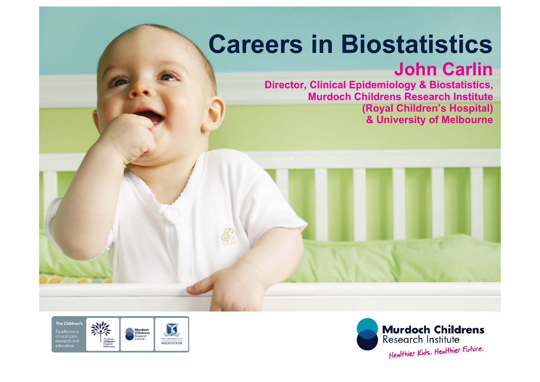# **Careers in Biostatistics**

### **John Carlin**

**Director, Clinical Epidemiology & Biostatistics, Murdoch Childrens Research Institute (Royal Children's Hospital) & University of Melbourne**



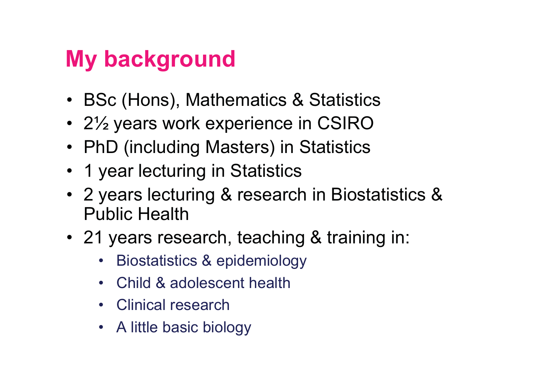### **My background**

- BSc (Hons), Mathematics & Statistics
- 2½ years work experience in CSIRO
- PhD (including Masters) in Statistics
- 1 year lecturing in Statistics
- 2 years lecturing & research in Biostatistics & Public Health
- 21 years research, teaching & training in:
	- $\bullet$ Biostatistics & epidemiology
	- •Child & adolescent health
	- $\bullet$ Clinical research
	- A little basic biology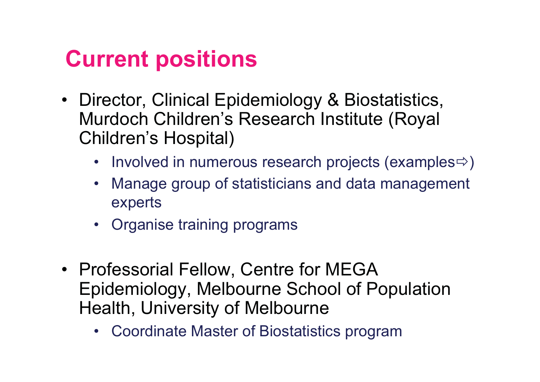### **Current positions**

- Director, Clinical Epidemiology & Biostatistics, Murdoch Children's Research Institute (Royal Children's Hospital)
	- Involved in numerous research projects (examples $\Leftrightarrow$ )
	- Manage group of statisticians and data management experts
	- Organise training programs
- Professorial Fellow, Centre for MEGA Epidemiology, Melbourne School of Population Health, University of Melbourne
	- Coordinate Master of Biostatistics program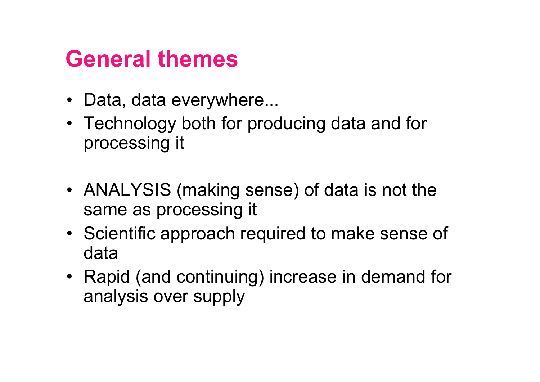### **General themes**

- Data, data everywhere...
- Technology both for producing data and for processing it
- ANALYSIS (making sense) of data is not the same as processing it
- Scientific approach required to make sense of data
- Rapid (and continuing) increase in demand for analysis over supply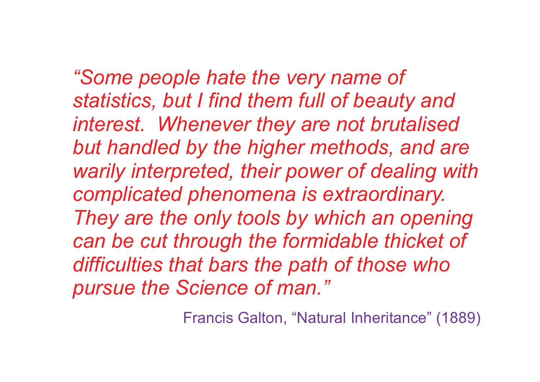*"Some people hate the very name of statistics, but I find them full of beauty and interest. Whenever they are not brutalised but handled by the higher methods, and are warily interpreted, their power of dealing with complicated phenomena is extraordinary. They are the only tools by which an opening can be cut through the formidable thicket of difficulties that bars the path of those who pursue the Science of man."*

Francis Galton, "Natural Inheritance" (1889)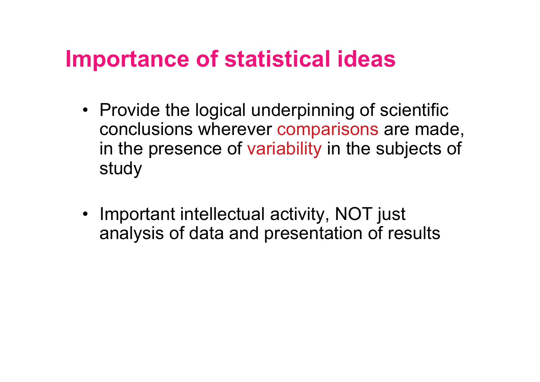### **Importance of statistical ideas**

- Provide the logical underpinning of scientific conclusions wherever comparisons are made, in the presence of variability in the subjects of study
- Important intellectual activity, NOT just analysis of data and presentation of results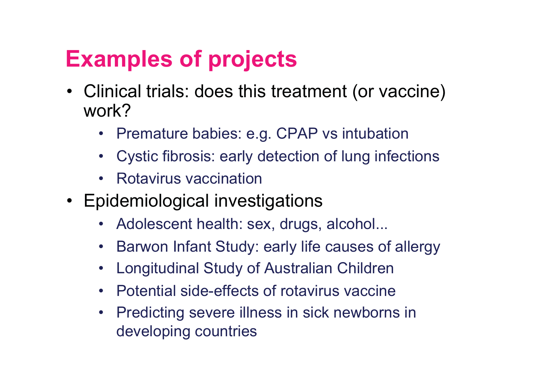## **Examples of projects**

- Clinical trials: does this treatment (or vaccine) work?
	- $\bullet$ Premature babies: e.g. CPAP vs intubation
	- $\bullet$ Cystic fibrosis: early detection of lung infections
	- •Rotavirus vaccination
- Epidemiological investigations
	- •Adolescent health: sex, drugs, alcohol...
	- •Barwon Infant Study: early life causes of allergy
	- $\bullet$ Longitudinal Study of Australian Children
	- $\bullet$ Potential side-effects of rotavirus vaccine
	- $\bullet$  Predicting severe illness in sick newborns in developing countries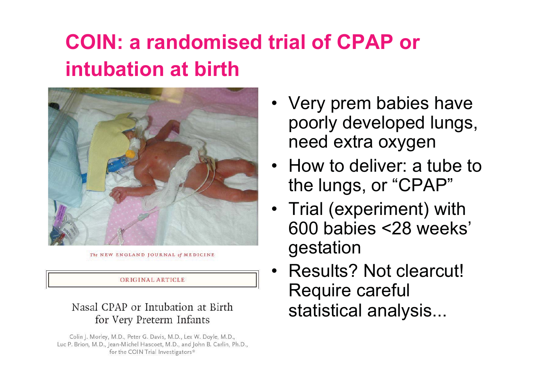### **COIN: a randomised trial of CPAP or intubation at birth**



The NEW ENGLAND JOURNAL of MEDICINE

#### ORIGINAL ARTICLE

#### Nasal CPAP or Intubation at Birth for Very Preterm Infants

Colin J. Morley, M.D., Peter G. Davis, M.D., Lex W. Doyle, M.D., Luc P. Brion, M.D., Jean-Michel Hascoet, M.D., and John B. Carlin, Ph.D., for the COIN Trial Investigators\*

- Very prem babies have poorly developed lungs, need extra oxygen
- How to deliver: a tube to the lungs, or "CPAP"
- Trial (experiment) with 600 babies <28 weeks' gestation
- • Results? Not clearcut! Require careful statistical analysis...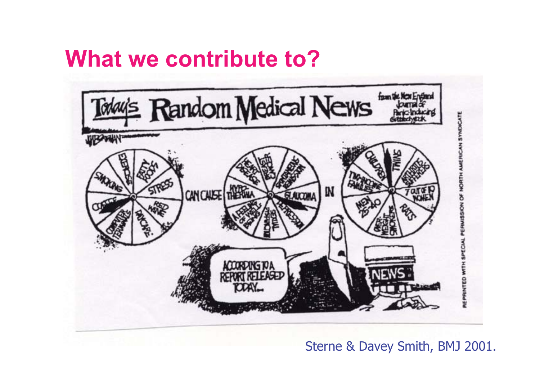### **What we contribute to?**



Sterne & Davey Smith, BMJ 2001.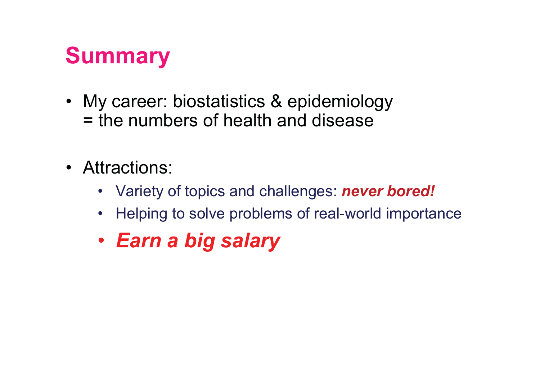### **Summary**

- My career: biostatistics & epidemiology = the numbers of health and disease
- Attractions:
	- Variety of topics and challenges: *never bored!*
	- •Helping to solve problems of real-world importance
	- *Earn a big salary*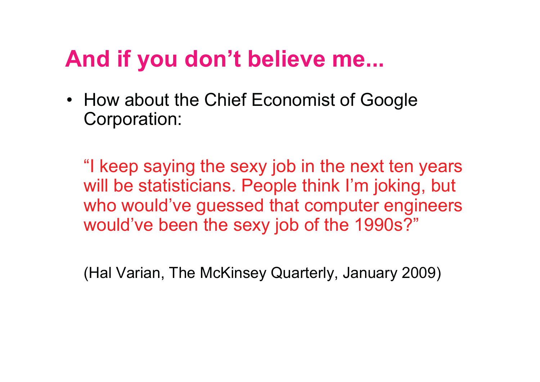### **And if you don't believe me...**

• How about the Chief Economist of Google Corporation:

"I keep saying the sexy job in the next ten years will be statisticians. People think I'm joking, but who would've guessed that computer engineers would've been the sexy job of the 1990s?"

(Hal Varian, The McKinsey Quarterly, January 2009)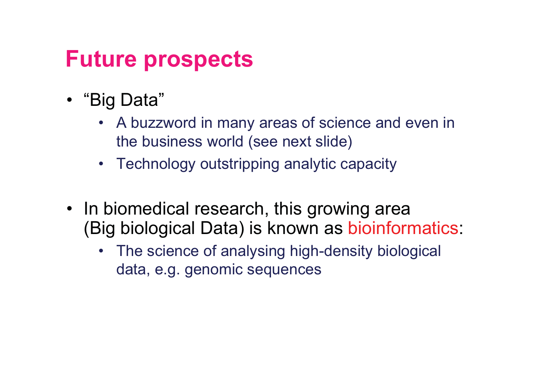### **Future prospects**

- "Big Data"
	- A buzzword in many areas of science and even in the business world (see next slide)
	- Technology outstripping analytic capacity
- In biomedical research, this growing area (Big biological Data) is known as bioinformatics:
	- The science of analysing high-density biological data, e.g. genomic sequences